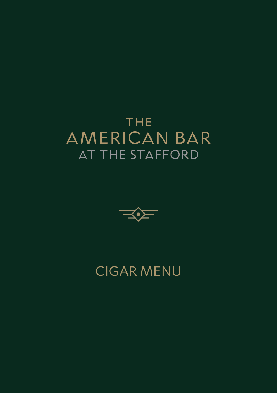## **THE AMERICAN BAR AT THE STAFFORD**



## CIGAR MENU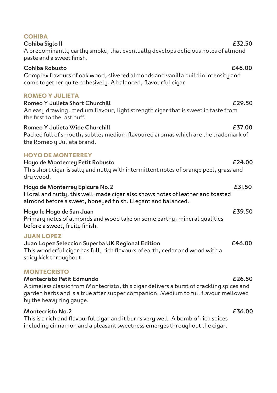| A predominantly earthy smoke, that eventually develops delicious notes of almond<br>paste and a sweet finish.                                                                                                                                                 |        |
|---------------------------------------------------------------------------------------------------------------------------------------------------------------------------------------------------------------------------------------------------------------|--------|
| Cohiba Robusto<br>Complex flavours of oak wood, slivered almonds and vanilla build in intensity and<br>come together quite cohesively. A balanced, flavourful cigar.                                                                                          | £46.00 |
| <b>ROMEO Y JULIETA</b><br>Romeo Y Julieta Short Churchill<br>An easy drawing, medium flavour, light strength cigar that is sweet in taste from<br>the first to the last puff.                                                                                 | £29.50 |
| Romeo Y Julieta Wide Churchill<br>Packed full of smooth, subtle, medium flavoured aromas which are the trademark of<br>the Romeo y Julieta brand.                                                                                                             | £37.00 |
| <b>HOYO DE MONTERREY</b><br>Hoyo de Monterrey Petit Robusto<br>This short cigar is salty and nutty with intermittent notes of orange peel, grass and<br>dry wood.                                                                                             | £24.00 |
| Hoyo de Monterrey Epicure No.2<br>Floral and nutty, this well-made cigar also shows notes of leather and toasted<br>almond before a sweet, honeyed finish. Elegant and balanced.                                                                              | £31.50 |
| Hoyo le Hoyo de San Juan<br>Primary notes of almonds and wood take on some earthy, mineral qualities<br>before a sweet, fruity finish.                                                                                                                        | £39.50 |
| <b>JUAN LOPEZ</b><br>Juan Lopez Seleccion Superba UK Regional Edition<br>This wonderful cigar has full, rich flavours of earth, cedar and wood with a<br>spicy kick throughout.                                                                               | £46.00 |
| <b>MONTECRISTO</b><br>Montecristo Petit Edmundo<br>A timeless classic from Montecristo, this cigar delivers a burst of crackling spices and<br>garden herbs and is a true after supper companion. Medium to full flavour mellowed<br>by the heavy ring gauge. | £26.50 |
| <b>Montecristo No.2</b><br>This is a rich and flavourful cigar and it burns very well. A bomb of rich spices                                                                                                                                                  | £36.00 |

including cinnamon and a pleasant sweetness emerges throughout the cigar.

# **COHIBA**

Cohiba Siglo II **E32.50**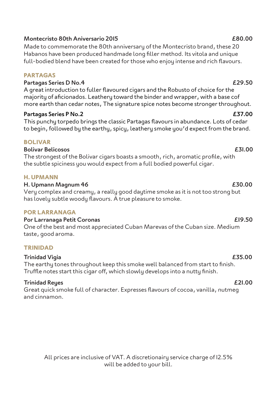### All prices are inclusive of VAT. A discretionairy service charge of 12.5% will be added to your bill.

### Montecristo 80th Aniversario 2015 £80.00

Made to commemorate the 80th anniversary of the Montecristo brand, these 20 Habanos have been produced handmade long filler method. Its vitola and unique full-bodied blend have been created for those who enjoy intense and rich flavours.

### **PARTAGAS**

Partagas Series D No.4 £29.50

A great introduction to fuller flavoured cigars and the Robusto of choice for the majority of aficionados. Leathery toward the binder and wrapper, with a base cof more earth than cedar notes, The signature spice notes become stronger throughout.

### Partagas Series P No.2 £37.00

This punchu torpedo brings the classic Partagas flavours in abundance. Lots of cedar to begin, followed by the earthy, spicy, leathery smoke you'd expect from the brand.

### **BOLIVAR**

### Bolivar Belicosos £31.00

The strongest of the Bolivar cigars boasts a smooth, rich, aromatic profile, with the subtle spiciness you would expect from a full bodied powerful cigar.

### **H. UPMANN**

### H. Upmann Magnum 46 £30.00

Very complex and creamy, a really good daytime smoke as it is not too strong but has lovely subtle woody flavours. A true pleasure to smoke.

### **POR LARRANAGA**

Por Larranaga Petit Coronas £19.50 One of the best and most appreciated Cuban Marevas of the Cuban size. Medium taste, good aroma.

### **TRINIDAD**

### Trinidad Vigia £35.00

The earthy tones throughout keep this smoke well balanced from start to finish. Truffle notes start this cigar off, which slowly develops into a nutty finish.

### Trinidad Reyes £21.00

Great quick smoke full of character. Expresses flavours of cocoa, vanilla, nutmeg and cinnamon.